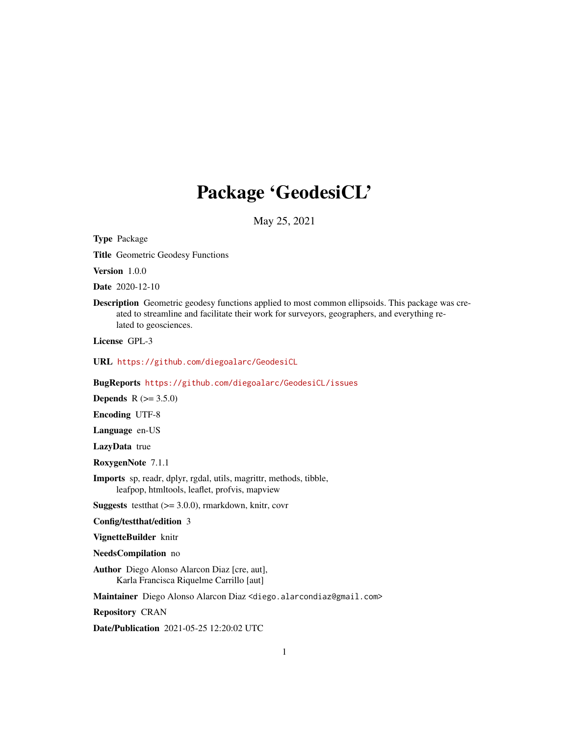# Package 'GeodesiCL'

May 25, 2021

<span id="page-0-0"></span>Type Package

Title Geometric Geodesy Functions

Version 1.0.0

Date 2020-12-10

Description Geometric geodesy functions applied to most common ellipsoids. This package was created to streamline and facilitate their work for surveyors, geographers, and everything related to geosciences.

License GPL-3

URL <https://github.com/diegoalarc/GeodesiCL>

BugReports <https://github.com/diegoalarc/GeodesiCL/issues>

**Depends** R  $(>= 3.5.0)$ 

Encoding UTF-8

Language en-US

LazyData true

RoxygenNote 7.1.1

Imports sp, readr, dplyr, rgdal, utils, magrittr, methods, tibble, leafpop, htmltools, leaflet, profvis, mapview

**Suggests** testthat  $(>= 3.0.0)$ , rmarkdown, knitr, covr

Config/testthat/edition 3

VignetteBuilder knitr

NeedsCompilation no

Author Diego Alonso Alarcon Diaz [cre, aut], Karla Francisca Riquelme Carrillo [aut]

Maintainer Diego Alonso Alarcon Diaz <diego.alarcondiaz@gmail.com>

Repository CRAN

Date/Publication 2021-05-25 12:20:02 UTC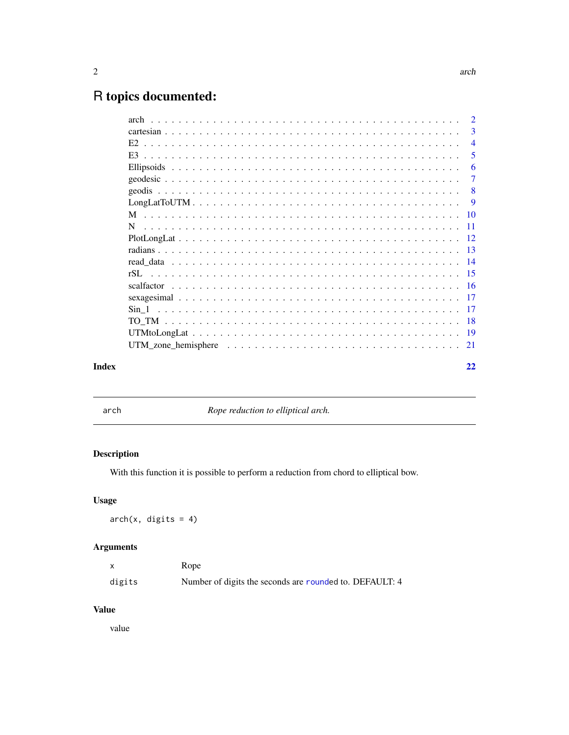## <span id="page-1-0"></span>R topics documented:

| UTM zone hemisphere $\ldots \ldots \ldots \ldots \ldots \ldots \ldots \ldots \ldots \ldots \ldots \ldots 21$ |  | $\overline{2}$ |
|--------------------------------------------------------------------------------------------------------------|--|----------------|
|                                                                                                              |  | 3              |
|                                                                                                              |  | $\overline{4}$ |
|                                                                                                              |  | 5              |
|                                                                                                              |  | 6              |
|                                                                                                              |  | -7             |
|                                                                                                              |  |                |
|                                                                                                              |  |                |
|                                                                                                              |  |                |
|                                                                                                              |  |                |
|                                                                                                              |  |                |
|                                                                                                              |  |                |
|                                                                                                              |  |                |
|                                                                                                              |  |                |
|                                                                                                              |  |                |
|                                                                                                              |  |                |
|                                                                                                              |  |                |
|                                                                                                              |  |                |
|                                                                                                              |  |                |
|                                                                                                              |  |                |
| Index                                                                                                        |  | 22             |

arch *Rope reduction to elliptical arch.*

#### Description

With this function it is possible to perform a reduction from chord to elliptical bow.

#### Usage

 $arch(x, \text{ digits} = 4)$ 

#### Arguments

|        | Rope                                                    |
|--------|---------------------------------------------------------|
| digits | Number of digits the seconds are rounded to. DEFAULT: 4 |

#### Value

value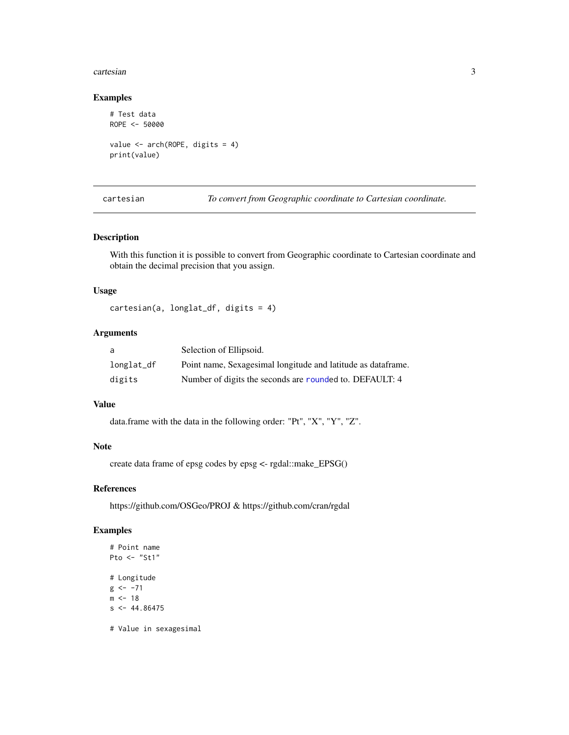#### <span id="page-2-0"></span>cartesian 3

#### Examples

```
# Test data
ROPE <- 50000
value <- arch(ROPE, digits = 4)
print(value)
```
cartesian *To convert from Geographic coordinate to Cartesian coordinate.*

#### Description

With this function it is possible to convert from Geographic coordinate to Cartesian coordinate and obtain the decimal precision that you assign.

#### Usage

cartesian(a, longlat\_df, digits = 4)

#### Arguments

| a          | Selection of Ellipsoid.                                      |
|------------|--------------------------------------------------------------|
| longlat_df | Point name, Sexagesimal longitude and latitude as dataframe. |
| digits     | Number of digits the seconds are rounded to. DEFAULT: 4      |

#### Value

data.frame with the data in the following order: "Pt", "X", "Y", "Z".

#### Note

create data frame of epsg codes by epsg <- rgdal::make\_EPSG()

#### References

https://github.com/OSGeo/PROJ & https://github.com/cran/rgdal

#### Examples

```
# Point name
Pto <- "St1"
# Longitude
g \le -71m < -18s < -44.86475
```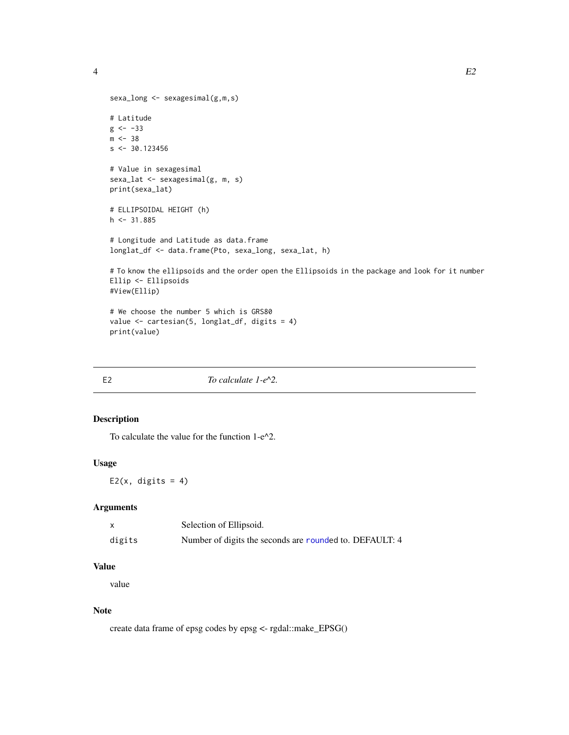<span id="page-3-0"></span>4 and 20 E2

```
sexa_long <- sexagesimal(g,m,s)
# Latitude
g \leftarrow -33m < -38s < -30.123456# Value in sexagesimal
sexa_lat <- sexagesimal(g, m, s)
print(sexa_lat)
# ELLIPSOIDAL HEIGHT (h)
h \leq -31.885# Longitude and Latitude as data.frame
longlat_df <- data.frame(Pto, sexa_long, sexa_lat, h)
# To know the ellipsoids and the order open the Ellipsoids in the package and look for it number
Ellip <- Ellipsoids
#View(Ellip)
# We choose the number 5 which is GRS80
value <- cartesian(5, longlat_df, digits = 4)
```
print(value)

| E <sub>2</sub> |                          |  |
|----------------|--------------------------|--|
|                | To calculate $1-e^{2}$ . |  |

#### Description

To calculate the value for the function 1-e^2.

#### Usage

E2( $x$ , digits = 4)

#### Arguments

|        | Selection of Ellipsoid.                                 |
|--------|---------------------------------------------------------|
| digits | Number of digits the seconds are rounded to. DEFAULT: 4 |

#### Value

value

#### Note

create data frame of epsg codes by epsg <- rgdal::make\_EPSG()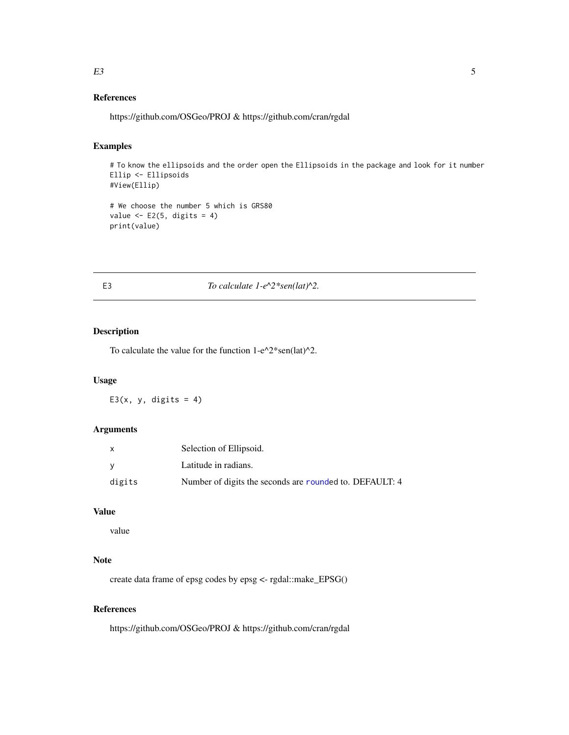#### <span id="page-4-0"></span> $E3 \hspace{1.5cm} 5$

#### References

https://github.com/OSGeo/PROJ & https://github.com/cran/rgdal

#### Examples

# To know the ellipsoids and the order open the Ellipsoids in the package and look for it number Ellip <- Ellipsoids #View(Ellip)

```
# We choose the number 5 which is GRS80
value \leq E2(5, digits = 4)
print(value)
```
#### E3 *To calculate 1-e*^2\*sen(lat)^2.

#### Description

To calculate the value for the function  $1-e^{\lambda}2*sen(lat)^{\lambda}2$ .

#### Usage

E3(x, y, digits = 4)

#### Arguments

| X      | Selection of Ellipsoid.                                 |
|--------|---------------------------------------------------------|
| - V    | Latitude in radians.                                    |
| digits | Number of digits the seconds are rounded to. DEFAULT: 4 |

#### Value

value

#### Note

create data frame of epsg codes by epsg <- rgdal::make\_EPSG()

#### References

https://github.com/OSGeo/PROJ & https://github.com/cran/rgdal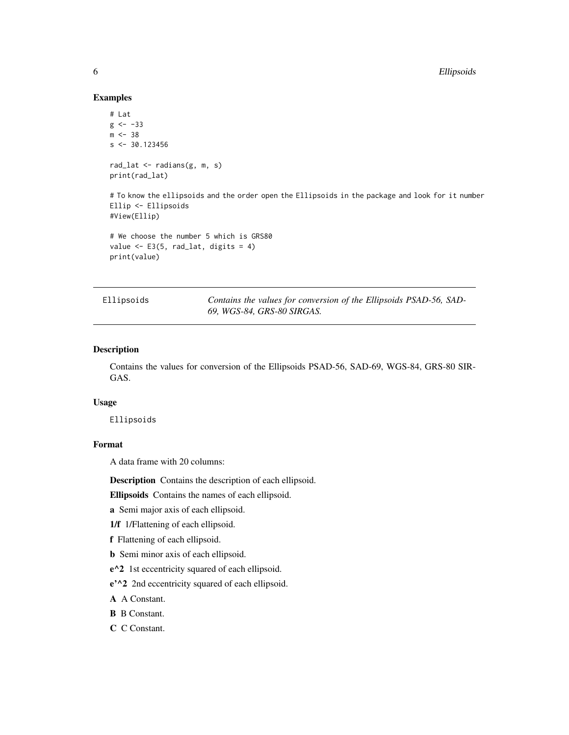#### Examples

```
# Lat
g \le -33m < -38s < -30.123456rad_lat <- radians(g, m, s)
print(rad_lat)
```
# To know the ellipsoids and the order open the Ellipsoids in the package and look for it number Ellip <- Ellipsoids #View(Ellip)

```
# We choose the number 5 which is GRS80
value \leq E3(5, rad_lat, digits = 4)
print(value)
```

|  | Ellipsoids |  |
|--|------------|--|
|  |            |  |

Contains the values for conversion of the Ellipsoids PSAD-56, SAD-*69, WGS-84, GRS-80 SIRGAS.*

#### Description

Contains the values for conversion of the Ellipsoids PSAD-56, SAD-69, WGS-84, GRS-80 SIR-GAS.

#### Usage

Ellipsoids

#### Format

A data frame with 20 columns:

Description Contains the description of each ellipsoid.

Ellipsoids Contains the names of each ellipsoid.

a Semi major axis of each ellipsoid.

1/f 1/Flattening of each ellipsoid.

f Flattening of each ellipsoid.

b Semi minor axis of each ellipsoid.

e^2 1st eccentricity squared of each ellipsoid.

e'^2 2nd eccentricity squared of each ellipsoid.

A A Constant.

B B Constant.

C C Constant.

<span id="page-5-0"></span>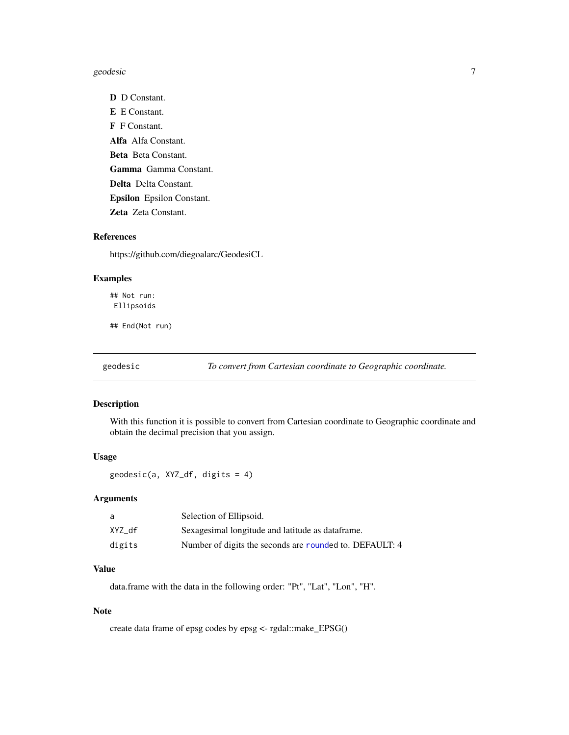#### <span id="page-6-0"></span>geodesic and the set of the set of the set of the set of the set of the set of the set of the set of the set of the set of the set of the set of the set of the set of the set of the set of the set of the set of the set of

D D Constant. E E Constant. F F Constant. Alfa Alfa Constant. Beta Beta Constant. Gamma Gamma Constant. Delta Delta Constant. Epsilon Epsilon Constant. Zeta Zeta Constant.

#### References

https://github.com/diegoalarc/GeodesiCL

#### Examples

## Not run: Ellipsoids

## End(Not run)

geodesic *To convert from Cartesian coordinate to Geographic coordinate.*

#### Description

With this function it is possible to convert from Cartesian coordinate to Geographic coordinate and obtain the decimal precision that you assign.

#### Usage

geodesic(a, XYZ\_df, digits = 4)

#### Arguments

| a      | Selection of Ellipsoid.                                 |
|--------|---------------------------------------------------------|
| XYZ df | Sexagesimal longitude and latitude as dataframe.        |
| digits | Number of digits the seconds are rounded to. DEFAULT: 4 |

#### Value

data.frame with the data in the following order: "Pt", "Lat", "Lon", "H".

#### Note

create data frame of epsg codes by epsg <- rgdal::make\_EPSG()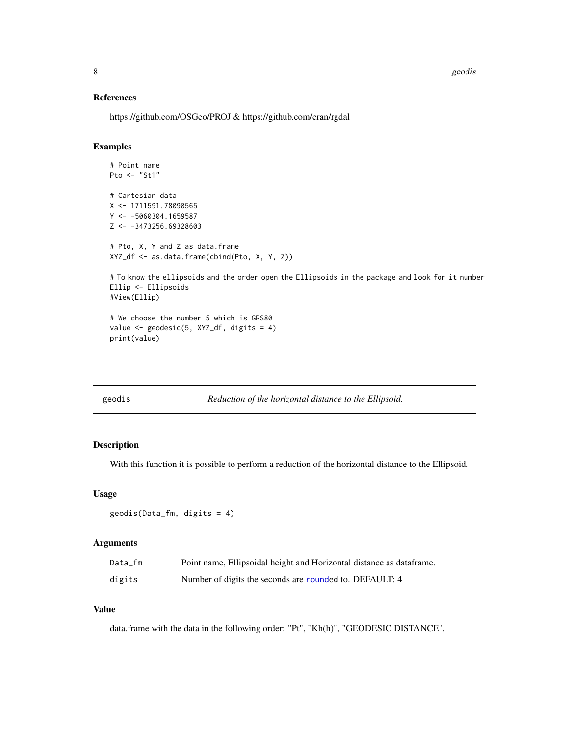<span id="page-7-0"></span>8 geodis and the second second second second second second second second second second second second second second second second second second second second second second second second second second second second second se

#### References

https://github.com/OSGeo/PROJ & https://github.com/cran/rgdal

#### Examples

```
# Point name
Pto <- "St1"
# Cartesian data
X <- 1711591.78090565
Y <- -5060304.1659587
Z <- -3473256.69328603
# Pto, X, Y and Z as data.frame
XYZ_df <- as.data.frame(cbind(Pto, X, Y, Z))
# To know the ellipsoids and the order open the Ellipsoids in the package and look for it number
Ellip <- Ellipsoids
#View(Ellip)
# We choose the number 5 which is GRS80
```

```
value \leq geodesic(5, XYZ_df, digits = 4)
print(value)
```

| ۲.<br>c | r<br>١٢. |  |
|---------|----------|--|
|         |          |  |

geodis *Reduction of the horizontal distance to the Ellipsoid.*

#### Description

With this function it is possible to perform a reduction of the horizontal distance to the Ellipsoid.

#### Usage

```
geodis(Data_fm, digits = 4)
```
#### Arguments

| Data fm | Point name, Ellipsoidal height and Horizontal distance as data frame. |
|---------|-----------------------------------------------------------------------|
| digits  | Number of digits the seconds are rounded to. DEFAULT: 4               |

#### Value

data.frame with the data in the following order: "Pt", "Kh(h)", "GEODESIC DISTANCE".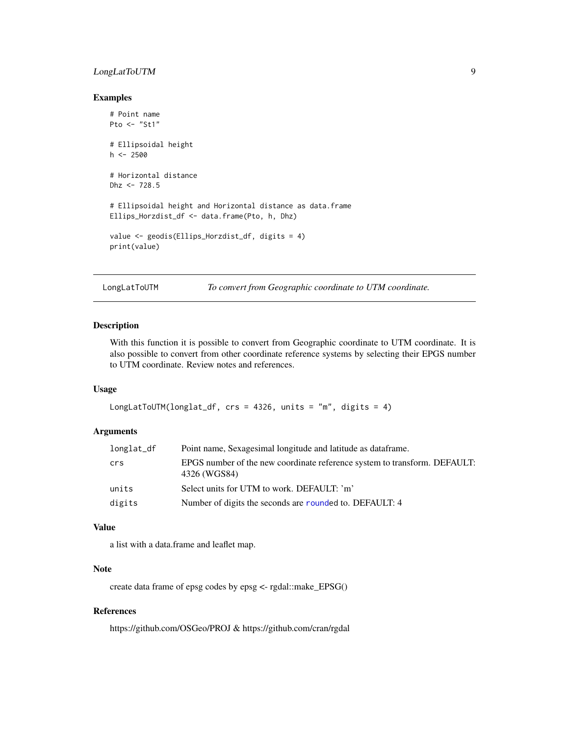#### <span id="page-8-0"></span>LongLatToUTM 9

#### Examples

```
# Point name
Pto <- "St1"
# Ellipsoidal height
h < -2500# Horizontal distance
Dhz <- 728.5
# Ellipsoidal height and Horizontal distance as data.frame
Ellips_Horzdist_df <- data.frame(Pto, h, Dhz)
value <- geodis(Ellips_Horzdist_df, digits = 4)
print(value)
```
LongLatToUTM *To convert from Geographic coordinate to UTM coordinate.*

#### Description

With this function it is possible to convert from Geographic coordinate to UTM coordinate. It is also possible to convert from other coordinate reference systems by selecting their EPGS number to UTM coordinate. Review notes and references.

#### Usage

```
LongLatToUTM(longlat_df, crs = 4326, units = "m", digits = 4)
```
#### Arguments

| longlat_df | Point name, Sexagesimal longitude and latitude as data frame.                             |
|------------|-------------------------------------------------------------------------------------------|
| crs        | EPGS number of the new coordinate reference system to transform. DEFAULT:<br>4326 (WGS84) |
| units      | Select units for UTM to work. DEFAULT: 'm'                                                |
| digits     | Number of digits the seconds are rounded to. DEFAULT: 4                                   |

#### Value

a list with a data.frame and leaflet map.

#### Note

create data frame of epsg codes by epsg <- rgdal::make\_EPSG()

#### References

https://github.com/OSGeo/PROJ & https://github.com/cran/rgdal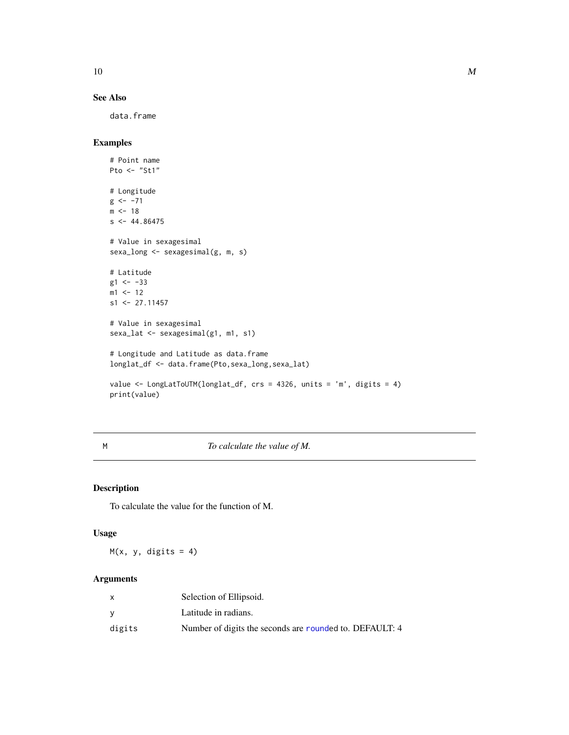<span id="page-9-0"></span> $10$  M

#### See Also

data.frame

### Examples

```
# Point name
Pto <- "St1"
# Longitude
g \leftarrow -71m < -18s < -44.86475# Value in sexagesimal
sexa_long <- sexagesimal(g, m, s)
# Latitude
g1 <- -33
m1 <- 12
s1 <- 27.11457
# Value in sexagesimal
sexa_lat <- sexagesimal(g1, m1, s1)
# Longitude and Latitude as data.frame
longlat_df <- data.frame(Pto,sexa_long,sexa_lat)
value <- LongLatToUTM(longlat_df, crs = 4326, units = 'm', digits = 4)
print(value)
```
M *To calculate the value of M.*

#### Description

To calculate the value for the function of M.

#### Usage

 $M(x, y, digits = 4)$ 

#### Arguments

|        | Selection of Ellipsoid.                                 |
|--------|---------------------------------------------------------|
| ν      | Latitude in radians.                                    |
| digits | Number of digits the seconds are rounded to. DEFAULT: 4 |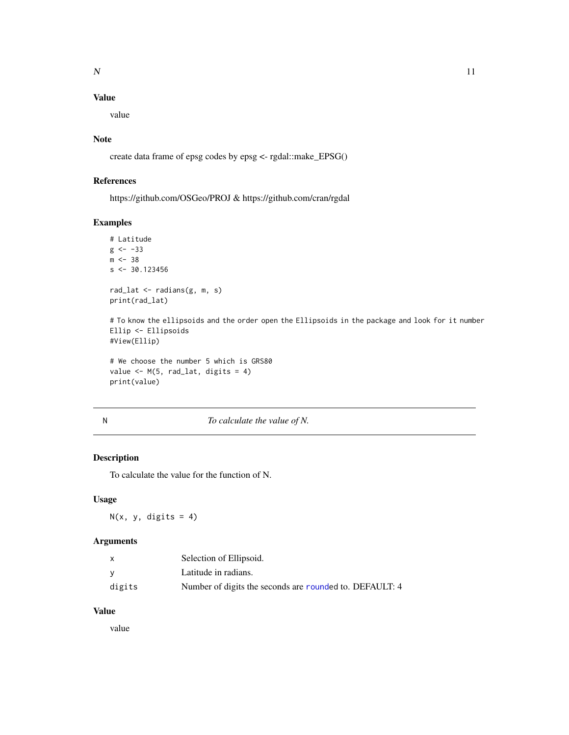#### <span id="page-10-0"></span>Value

value

#### Note

create data frame of epsg codes by epsg <- rgdal::make\_EPSG()

#### References

https://github.com/OSGeo/PROJ & https://github.com/cran/rgdal

#### Examples

```
# Latitude
g \le -33m < -38s < -30.123456rad_lat <- radians(g, m, s)
print(rad_lat)
```
# To know the ellipsoids and the order open the Ellipsoids in the package and look for it number Ellip <- Ellipsoids #View(Ellip)

```
# We choose the number 5 which is GRS80
value \leq M(5, rad_lat, digits = 4)print(value)
```

#### N *To calculate the value of N.*

#### Description

To calculate the value for the function of N.

#### Usage

 $N(x, y, \text{ digits} = 4)$ 

#### Arguments

| X      | Selection of Ellipsoid.                                 |
|--------|---------------------------------------------------------|
| v      | Latitude in radians.                                    |
| digits | Number of digits the seconds are rounded to. DEFAULT: 4 |

#### Value

value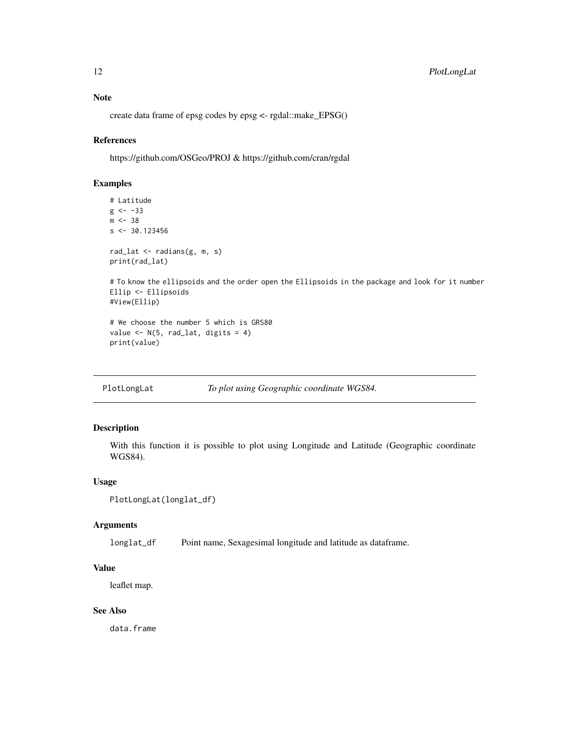#### <span id="page-11-0"></span>Note

create data frame of epsg codes by epsg <- rgdal::make\_EPSG()

#### References

https://github.com/OSGeo/PROJ & https://github.com/cran/rgdal

#### Examples

```
# Latitude
g \le -33m < -38s < -30.123456rad_lat <- radians(g, m, s)
print(rad_lat)
```
# To know the ellipsoids and the order open the Ellipsoids in the package and look for it number Ellip <- Ellipsoids #View(Ellip)

```
# We choose the number 5 which is GRS80
value \leq N(5, rad\_lat, digits = 4)print(value)
```
PlotLongLat *To plot using Geographic coordinate WGS84.*

#### Description

With this function it is possible to plot using Longitude and Latitude (Geographic coordinate WGS84).

#### Usage

```
PlotLongLat(longlat_df)
```
#### Arguments

longlat\_df Point name, Sexagesimal longitude and latitude as dataframe.

#### Value

leaflet map.

#### See Also

data.frame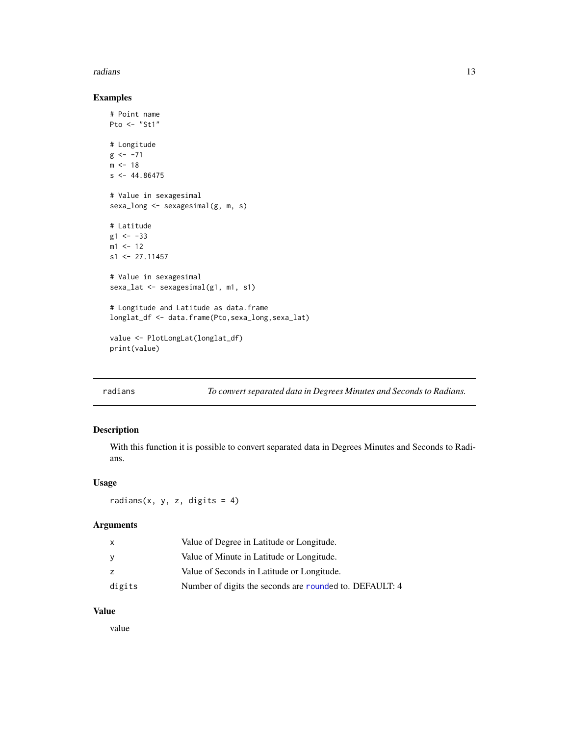#### <span id="page-12-0"></span>radians and 13 and 13 and 13 and 13 and 13 and 13 and 13 and 13 and 13 and 13 and 13 and 13 and 13 and 13 and 13 and 13 and 13 and 13 and 13 and 13 and 13 and 13 and 13 and 13 and 13 and 13 and 13 and 13 and 13 and 13 and

#### Examples

```
# Point name
Pto <- "St1"
# Longitude
g \le -71m < -18s < -44.86475# Value in sexagesimal
sexa_long <- sexagesimal(g, m, s)
# Latitude
g1 <- -33
m1 <- 12
s1 <- 27.11457
# Value in sexagesimal
sexa_lat <- sexagesimal(g1, m1, s1)
# Longitude and Latitude as data.frame
longlat_df <- data.frame(Pto,sexa_long,sexa_lat)
value <- PlotLongLat(longlat_df)
print(value)
```
radians *To convert separated data in Degrees Minutes and Seconds to Radians.*

#### Description

With this function it is possible to convert separated data in Degrees Minutes and Seconds to Radians.

#### Usage

radians(x, y, z, digits = 4)

#### Arguments

| $\mathsf{X}$ | Value of Degree in Latitude or Longitude.               |
|--------------|---------------------------------------------------------|
| - V          | Value of Minute in Latitude or Longitude.               |
| Z.           | Value of Seconds in Latitude or Longitude.              |
| digits       | Number of digits the seconds are rounded to. DEFAULT: 4 |

#### Value

value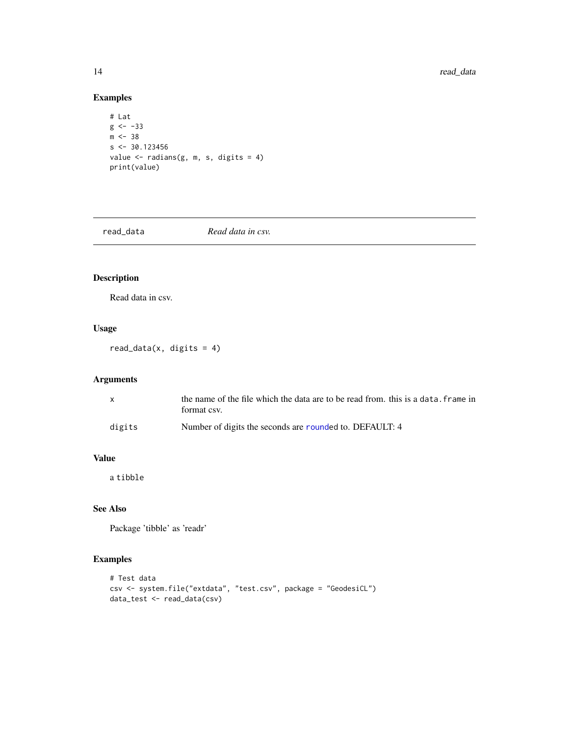#### Examples

```
# Lat
g \leftarrow -33m < -38s < -30.123456value \leq radians(g, m, s, digits = 4)
print(value)
```
read\_data *Read data in csv.*

#### Description

Read data in csv.

#### Usage

 $read_data(x, digits = 4)$ 

#### Arguments

| $\mathbf{x}$ | the name of the file which the data are to be read from, this is a data, frame in<br>format csv. |
|--------------|--------------------------------------------------------------------------------------------------|
| digits       | Number of digits the seconds are rounded to. DEFAULT: 4                                          |

#### Value

a tibble

#### See Also

Package 'tibble' as 'readr'

#### Examples

```
# Test data
csv <- system.file("extdata", "test.csv", package = "GeodesiCL")
data_test <- read_data(csv)
```
<span id="page-13-0"></span>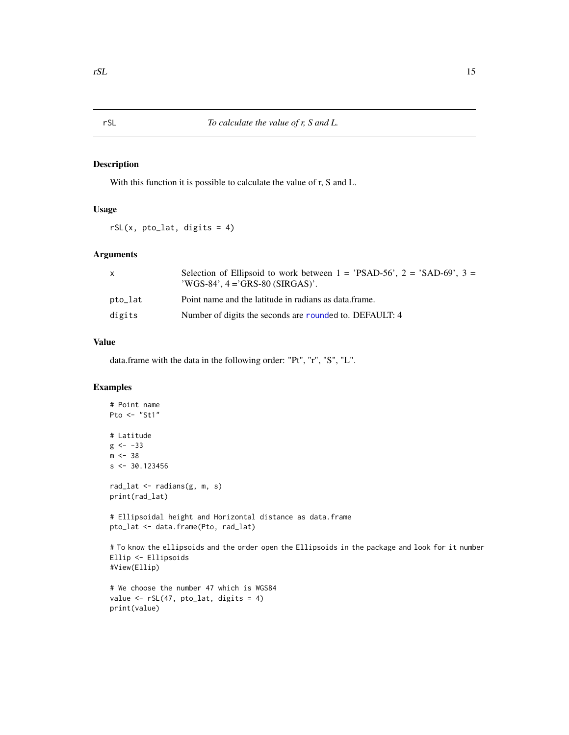#### Description

With this function it is possible to calculate the value of r, S and L.

#### Usage

 $rSL(x, pto\_lat, digits = 4)$ 

#### Arguments

| X       | Selection of Ellipsoid to work between $1 =$ PSAD-56', $2 =$ 'SAD-69', $3 =$<br>$\text{'WGS-84'}$ , $4 = \text{'GRS-80}$ (SIRGAS)'. |
|---------|-------------------------------------------------------------------------------------------------------------------------------------|
| pto_lat | Point name and the latitude in radians as data. frame.                                                                              |
| digits  | Number of digits the seconds are rounded to. DEFAULT: 4                                                                             |

#### Value

data.frame with the data in the following order: "Pt", "r", "S", "L".

#### Examples

print(value)

```
# Point name
Pto \leftarrow "St1"
# Latitude
g \le -33m < -38s < -30.123456rad_lat <- radians(g, m, s)
print(rad_lat)
# Ellipsoidal height and Horizontal distance as data.frame
pto_lat <- data.frame(Pto, rad_lat)
# To know the ellipsoids and the order open the Ellipsoids in the package and look for it number
Ellip <- Ellipsoids
#View(Ellip)
# We choose the number 47 which is WGS84
value \leq rSL(47, pto_lat, digits = 4)
```
<span id="page-14-0"></span>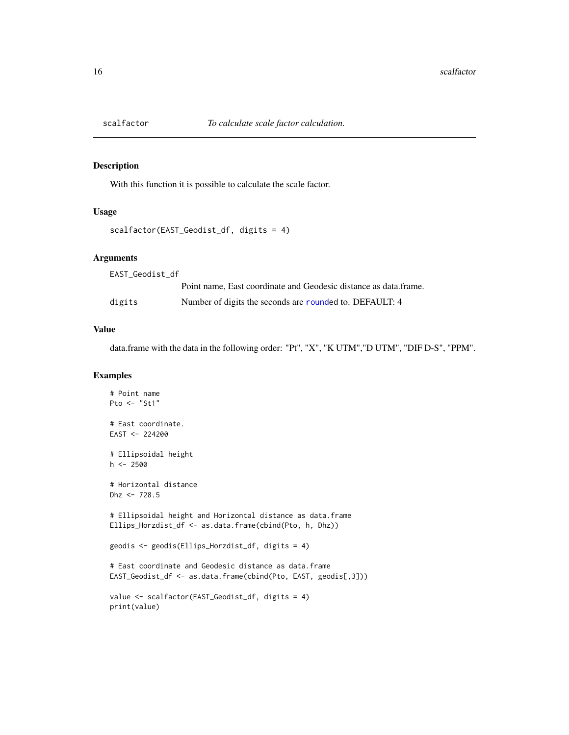<span id="page-15-0"></span>

#### Description

With this function it is possible to calculate the scale factor.

#### Usage

```
scalfactor(EAST_Geodist_df, digits = 4)
```
#### Arguments

| EAST Geodist df |                                                                  |
|-----------------|------------------------------------------------------------------|
|                 | Point name, East coordinate and Geodesic distance as data.frame. |
| digits          | Number of digits the seconds are rounded to. DEFAULT: 4          |

#### Value

data.frame with the data in the following order: "Pt", "X", "K UTM","D UTM", "DIF D-S", "PPM".

#### Examples

```
# Point name
Pto \leq "St1"
# East coordinate.
EAST < -224200# Ellipsoidal height
h <- 2500
# Horizontal distance
Dhz <- 728.5
# Ellipsoidal height and Horizontal distance as data.frame
Ellips_Horzdist_df <- as.data.frame(cbind(Pto, h, Dhz))
geodis <- geodis(Ellips_Horzdist_df, digits = 4)
# East coordinate and Geodesic distance as data.frame
EAST_Geodist_df <- as.data.frame(cbind(Pto, EAST, geodis[,3]))
value <- scalfactor(EAST_Geodist_df, digits = 4)
print(value)
```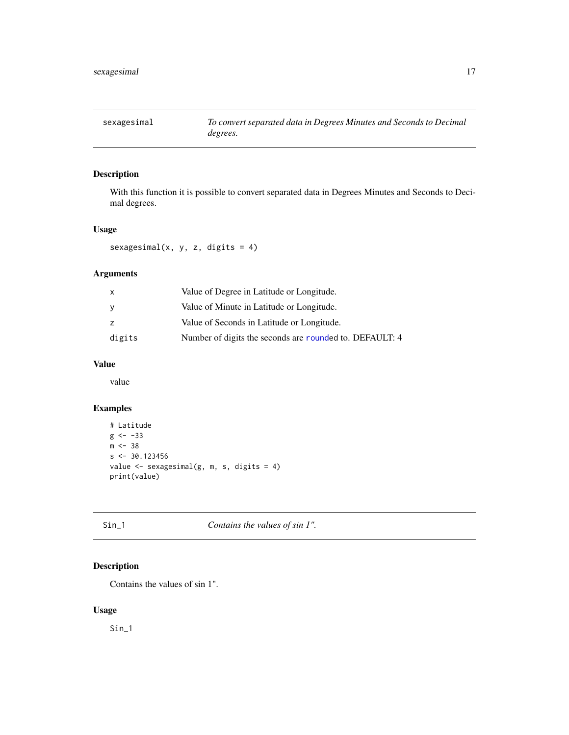<span id="page-16-0"></span>

#### Description

With this function it is possible to convert separated data in Degrees Minutes and Seconds to Decimal degrees.

#### Usage

sexagesimal(x, y, z, digits = 4)

#### Arguments

| $\mathsf{x}$ | Value of Degree in Latitude or Longitude.               |
|--------------|---------------------------------------------------------|
| <b>y</b>     | Value of Minute in Latitude or Longitude.               |
| z            | Value of Seconds in Latitude or Longitude.              |
| digits       | Number of digits the seconds are rounded to. DEFAULT: 4 |

#### Value

value

#### Examples

```
# Latitude
g \leftarrow -33m < -38s < -30.123456value <- sexagesimal(g, m, s, digits = 4)
print(value)
```
Sin\_1 *Contains the values of sin 1".*

#### Description

Contains the values of sin 1".

#### Usage

Sin\_1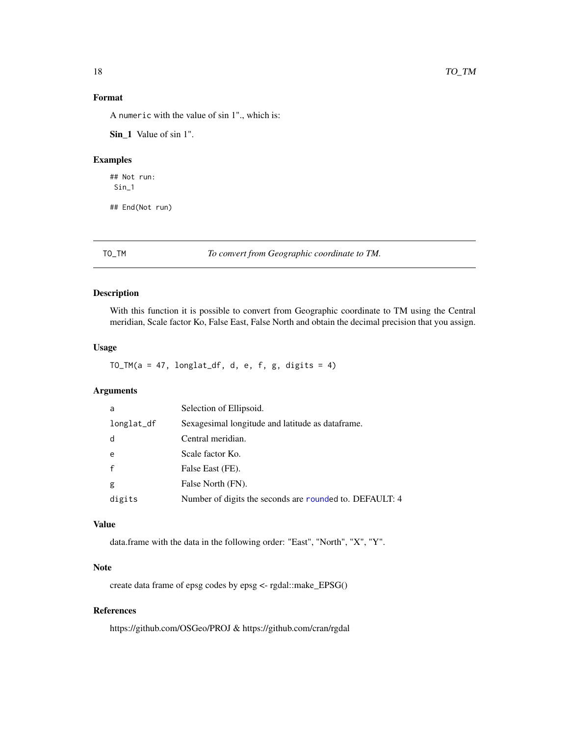#### <span id="page-17-0"></span>Format

A numeric with the value of sin 1"., which is:

Sin\_1 Value of sin 1".

#### Examples

## Not run: Sin\_1

## End(Not run)

TO\_TM *To convert from Geographic coordinate to TM.*

#### Description

With this function it is possible to convert from Geographic coordinate to TM using the Central meridian, Scale factor Ko, False East, False North and obtain the decimal precision that you assign.

#### Usage

TO\_TM( $a = 47$ , longlat\_df, d, e, f, g, digits = 4)

#### Arguments

| a          | Selection of Ellipsoid.                                 |  |
|------------|---------------------------------------------------------|--|
| longlat_df | Sexagesimal longitude and latitude as dataframe.        |  |
| d          | Central meridian.                                       |  |
| e          | Scale factor Ko.                                        |  |
|            | False East (FE).                                        |  |
| g          | False North (FN).                                       |  |
| digits     | Number of digits the seconds are rounded to. DEFAULT: 4 |  |

#### Value

data.frame with the data in the following order: "East", "North", "X", "Y".

#### Note

create data frame of epsg codes by epsg <- rgdal::make\_EPSG()

#### References

https://github.com/OSGeo/PROJ & https://github.com/cran/rgdal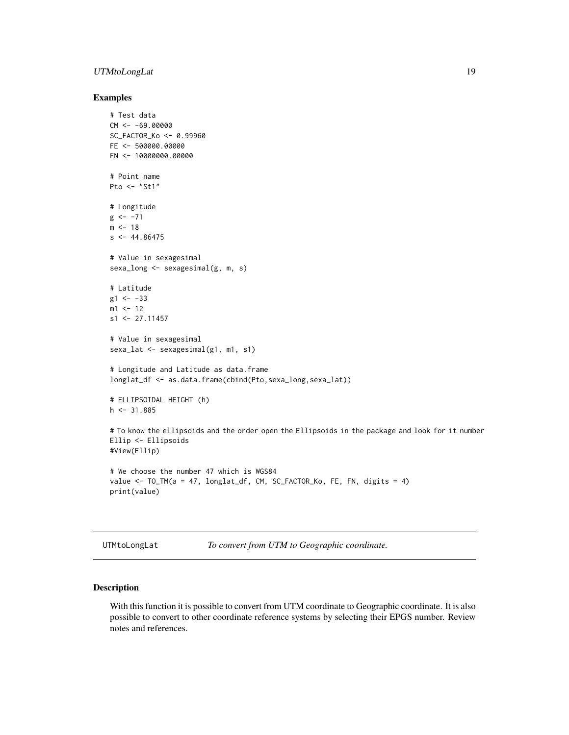#### <span id="page-18-0"></span>UTMtoLongLat 19

#### Examples

```
# Test data
CM < -69.00000SC_FACTOR_Ko <- 0.99960
FE <- 500000.00000
FN <- 10000000.00000
# Point name
Pto <- "St1"
# Longitude
g \le -71m < -18s < -44.86475# Value in sexagesimal
sexa_long <- sexagesimal(g, m, s)
# Latitude
g1 < -33m1 <- 12
s1 <- 27.11457
# Value in sexagesimal
sexa_lat <- sexagesimal(g1, m1, s1)
# Longitude and Latitude as data.frame
longlat_df <- as.data.frame(cbind(Pto,sexa_long,sexa_lat))
# ELLIPSOIDAL HEIGHT (h)
h \leq 31.885# To know the ellipsoids and the order open the Ellipsoids in the package and look for it number
Ellip <- Ellipsoids
#View(Ellip)
# We choose the number 47 which is WGS84
value <- TO_TM(a = 47, longlat_df, CM, SC_FACTOR_Ko, FE, FN, digits = 4)
print(value)
```
UTMtoLongLat *To convert from UTM to Geographic coordinate.*

#### Description

With this function it is possible to convert from UTM coordinate to Geographic coordinate. It is also possible to convert to other coordinate reference systems by selecting their EPGS number. Review notes and references.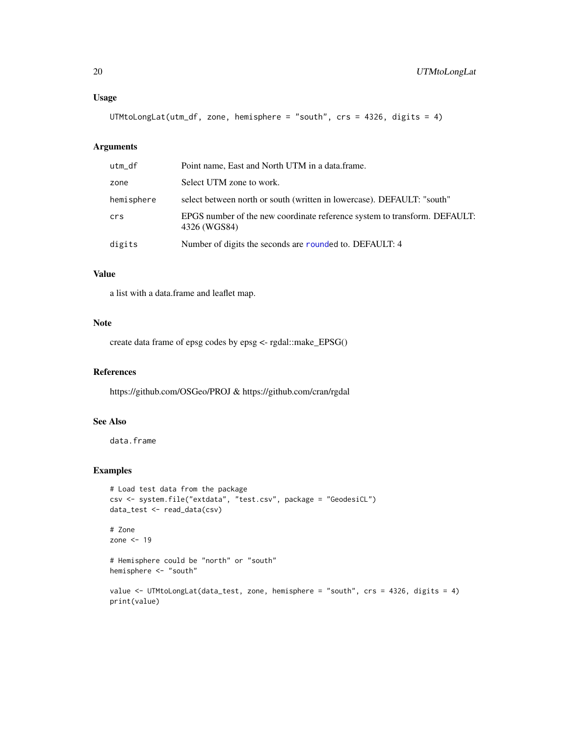#### <span id="page-19-0"></span>Usage

UTMtoLongLat(utm\_df, zone, hemisphere = "south", crs = 4326, digits = 4)

#### Arguments

| utm_df     | Point name, East and North UTM in a data.frame.                                           |
|------------|-------------------------------------------------------------------------------------------|
| zone       | Select UTM zone to work.                                                                  |
| hemisphere | select between north or south (written in lowercase). DEFAULT: "south"                    |
| crs        | EPGS number of the new coordinate reference system to transform. DEFAULT:<br>4326 (WGS84) |
| digits     | Number of digits the seconds are rounded to. DEFAULT: 4                                   |

#### Value

a list with a data.frame and leaflet map.

#### Note

create data frame of epsg codes by epsg <- rgdal::make\_EPSG()

#### References

https://github.com/OSGeo/PROJ & https://github.com/cran/rgdal

#### See Also

data.frame

#### Examples

```
# Load test data from the package
csv <- system.file("extdata", "test.csv", package = "GeodesiCL")
data_test <- read_data(csv)
```

```
# Zone
zone <-19
```
# Hemisphere could be "north" or "south" hemisphere <- "south"

```
value <- UTMtoLongLat(data_test, zone, hemisphere = "south", crs = 4326, digits = 4)
print(value)
```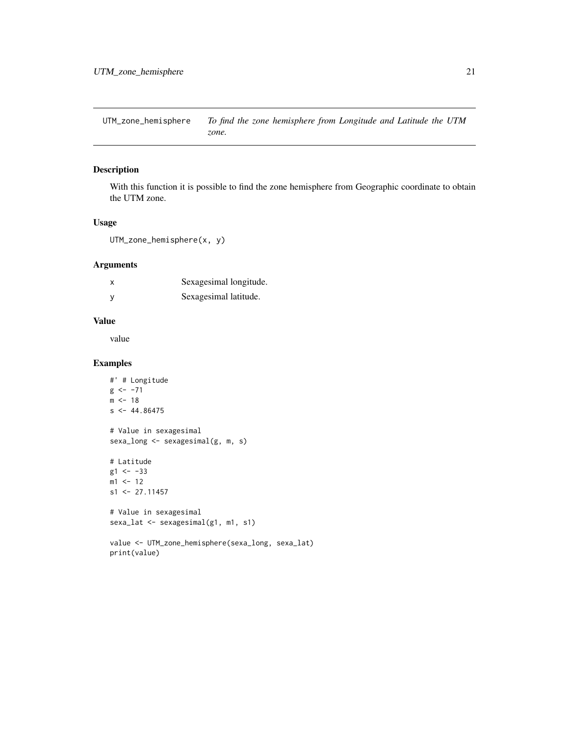<span id="page-20-0"></span>UTM\_zone\_hemisphere *To find the zone hemisphere from Longitude and Latitude the UTM zone.*

#### Description

With this function it is possible to find the zone hemisphere from Geographic coordinate to obtain the UTM zone.

#### Usage

UTM\_zone\_hemisphere(x, y)

#### Arguments

| x | Sexagesimal longitude. |
|---|------------------------|
|   | Sexagesimal latitude.  |

#### Value

value

#### Examples

```
#' # Longitude
g \leftarrow -71m \le -18s < -44.86475# Value in sexagesimal
sexa_long <- sexagesimal(g, m, s)
# Latitude
g1 <- -33
m1 <- 12
s1 <- 27.11457
# Value in sexagesimal
sexa_lat <- sexagesimal(g1, m1, s1)
value <- UTM_zone_hemisphere(sexa_long, sexa_lat)
print(value)
```